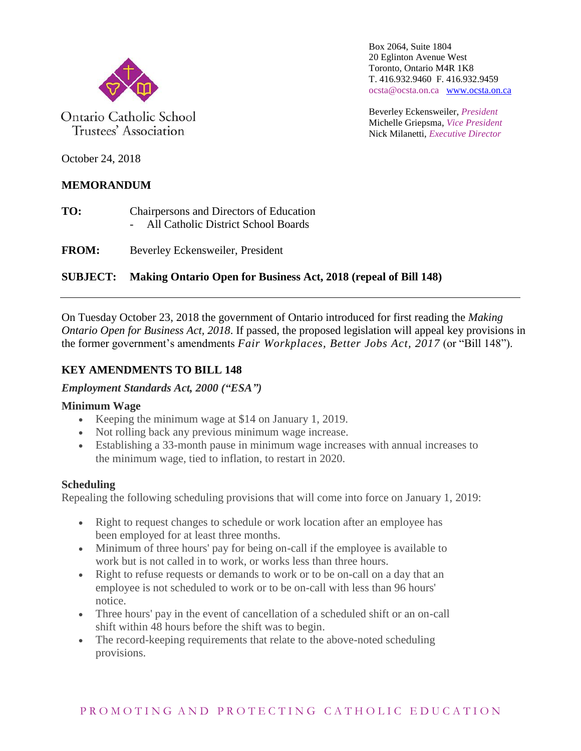

Ontario Catholic School Trustees' Association

Box 2064, Suite 1804 20 Eglinton Avenue West Toronto, Ontario M4R 1K8 T. 416.932.9460 F. 416.932.9459 ocsta@ocsta.on.ca [www.ocsta.on.ca](http://www.ocsta.on.ca/)

Beverley Eckensweiler, *President* Michelle Griepsma, *Vice President* Nick Milanetti, *Executive Director*

October 24, 2018

# **MEMORANDUM**

**TO:** Chairpersons and Directors of Education - All Catholic District School Boards

**FROM:** Beverley Eckensweiler, President

# **SUBJECT: Making Ontario Open for Business Act, 2018 (repeal of Bill 148)**

On Tuesday October 23, 2018 the government of Ontario introduced for first reading the *Making Ontario Open for Business Act, 2018*. If passed, the proposed legislation will appeal key provisions in the former government's amendments *Fair Workplaces, Better Jobs Act, 2017* (or "Bill 148").

# **KEY AMENDMENTS TO BILL 148**

## *Employment Standards Act, 2000 ("ESA")*

## **Minimum Wage**

- Keeping the minimum wage at \$14 on January 1, 2019.
- Not rolling back any previous minimum wage increase.
- Establishing a 33-month pause in minimum wage increases with annual increases to the minimum wage, tied to inflation, to restart in 2020.

## **Scheduling**

Repealing the following scheduling provisions that will come into force on January 1, 2019:

- Right to request changes to schedule or work location after an employee has been employed for at least three months.
- Minimum of three hours' pay for being on-call if the employee is available to work but is not called in to work, or works less than three hours.
- Right to refuse requests or demands to work or to be on-call on a day that an employee is not scheduled to work or to be on-call with less than 96 hours' notice.
- Three hours' pay in the event of cancellation of a scheduled shift or an on-call shift within 48 hours before the shift was to begin.
- The record-keeping requirements that relate to the above-noted scheduling provisions.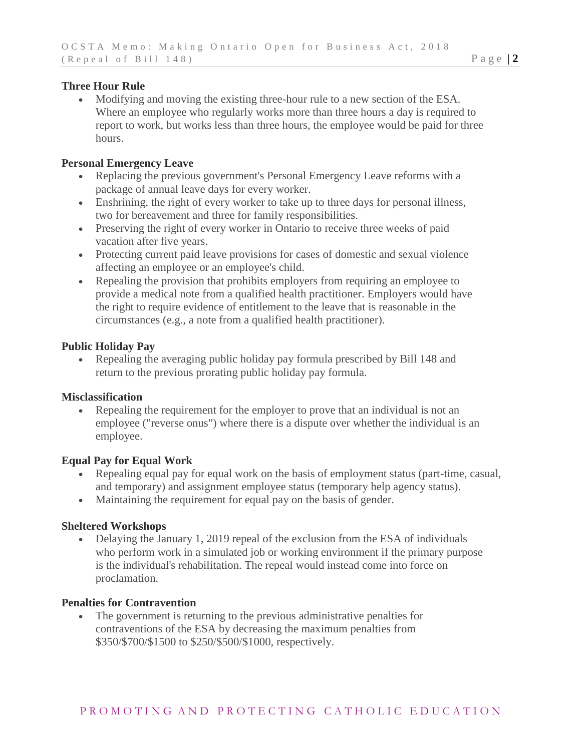## **Three Hour Rule**

 Modifying and moving the existing three-hour rule to a new section of the ESA. Where an employee who regularly works more than three hours a day is required to report to work, but works less than three hours, the employee would be paid for three hours.

## **Personal Emergency Leave**

- Replacing the previous government's Personal Emergency Leave reforms with a package of annual leave days for every worker.
- Enshrining, the right of every worker to take up to three days for personal illness, two for bereavement and three for family responsibilities.
- Preserving the right of every worker in Ontario to receive three weeks of paid vacation after five years.
- Protecting current paid leave provisions for cases of domestic and sexual violence affecting an employee or an employee's child.
- Repealing the provision that prohibits employers from requiring an employee to provide a medical note from a qualified health practitioner. Employers would have the right to require evidence of entitlement to the leave that is reasonable in the circumstances (e.g., a note from a qualified health practitioner).

## **Public Holiday Pay**

 Repealing the averaging public holiday pay formula prescribed by Bill 148 and return to the previous prorating public holiday pay formula.

## **Misclassification**

 Repealing the requirement for the employer to prove that an individual is not an employee ("reverse onus") where there is a dispute over whether the individual is an employee.

## **Equal Pay for Equal Work**

- Repealing equal pay for equal work on the basis of employment status (part-time, casual, and temporary) and assignment employee status (temporary help agency status).
- Maintaining the requirement for equal pay on the basis of gender.

## **Sheltered Workshops**

• Delaying the January 1, 2019 repeal of the exclusion from the ESA of individuals who perform work in a simulated job or working environment if the primary purpose is the individual's rehabilitation. The repeal would instead come into force on proclamation.

#### **Penalties for Contravention**

 The government is returning to the previous administrative penalties for contraventions of the ESA by decreasing the maximum penalties from \$350/\$700/\$1500 to \$250/\$500/\$1000, respectively.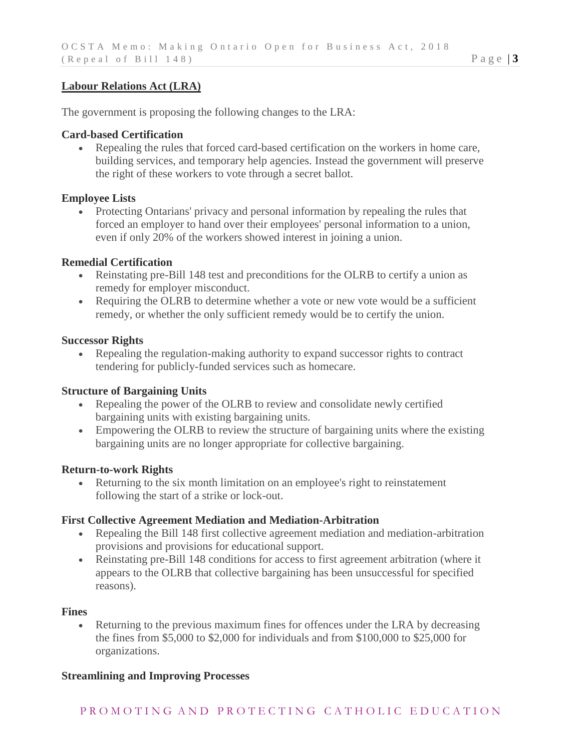## **Labour Relations Act (LRA)**

The government is proposing the following changes to the LRA:

## **Card-based Certification**

 Repealing the rules that forced card-based certification on the workers in home care, building services, and temporary help agencies. Instead the government will preserve the right of these workers to vote through a secret ballot.

## **Employee Lists**

• Protecting Ontarians' privacy and personal information by repealing the rules that forced an employer to hand over their employees' personal information to a union, even if only 20% of the workers showed interest in joining a union.

## **Remedial Certification**

- Reinstating pre-Bill 148 test and preconditions for the OLRB to certify a union as remedy for employer misconduct.
- Requiring the OLRB to determine whether a vote or new vote would be a sufficient remedy, or whether the only sufficient remedy would be to certify the union.

#### **Successor Rights**

 Repealing the regulation-making authority to expand successor rights to contract tendering for publicly-funded services such as homecare.

## **Structure of Bargaining Units**

- Repealing the power of the OLRB to review and consolidate newly certified bargaining units with existing bargaining units.
- Empowering the OLRB to review the structure of bargaining units where the existing bargaining units are no longer appropriate for collective bargaining.

#### **Return-to-work Rights**

 Returning to the six month limitation on an employee's right to reinstatement following the start of a strike or lock-out.

#### **First Collective Agreement Mediation and Mediation-Arbitration**

- Repealing the Bill 148 first collective agreement mediation and mediation-arbitration provisions and provisions for educational support.
- Reinstating pre-Bill 148 conditions for access to first agreement arbitration (where it appears to the OLRB that collective bargaining has been unsuccessful for specified reasons).

#### **Fines**

 Returning to the previous maximum fines for offences under the LRA by decreasing the fines from \$5,000 to \$2,000 for individuals and from \$100,000 to \$25,000 for organizations.

## **Streamlining and Improving Processes**